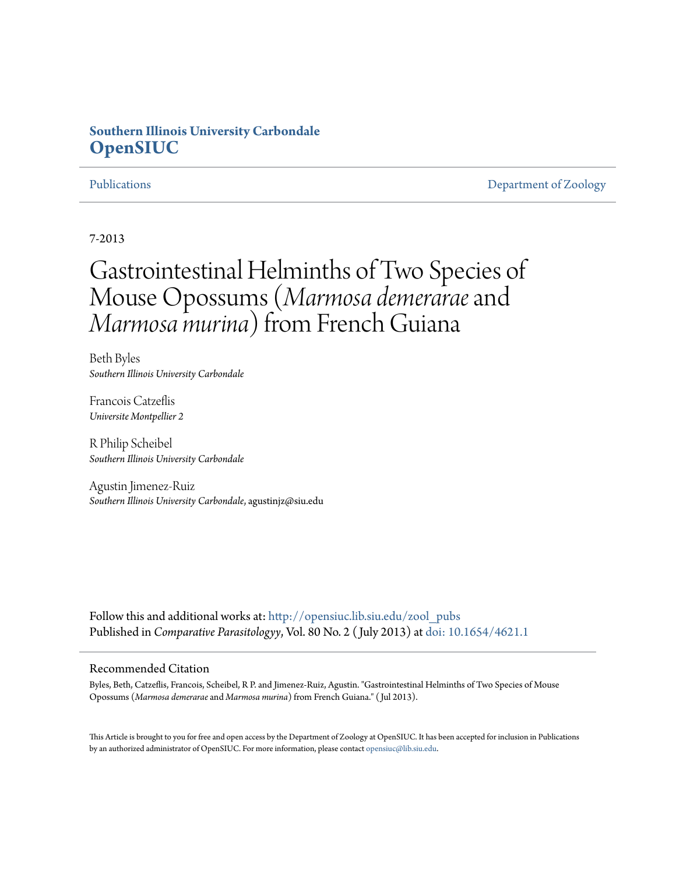# **Southern Illinois University Carbondale [OpenSIUC](http://opensiuc.lib.siu.edu?utm_source=opensiuc.lib.siu.edu%2Fzool_pubs%2F60&utm_medium=PDF&utm_campaign=PDFCoverPages)**

[Publications](http://opensiuc.lib.siu.edu/zool_pubs?utm_source=opensiuc.lib.siu.edu%2Fzool_pubs%2F60&utm_medium=PDF&utm_campaign=PDFCoverPages) **[Department of Zoology](http://opensiuc.lib.siu.edu/zool?utm_source=opensiuc.lib.siu.edu%2Fzool_pubs%2F60&utm_medium=PDF&utm_campaign=PDFCoverPages)** 

# 7-2013

# Gastrointestinal Helminths of Two Species of Mouse Opossums (*Marmosa demerarae*and *Marmosa murina*) from French Guiana

Beth Byles *Southern Illinois University Carbondale*

Francois Catzeflis *Universite Montpellier 2*

R Philip Scheibel *Southern Illinois University Carbondale*

Agustin Jimenez-Ruiz *Southern Illinois University Carbondale*, agustinjz@siu.edu

Follow this and additional works at: [http://opensiuc.lib.siu.edu/zool\\_pubs](http://opensiuc.lib.siu.edu/zool_pubs?utm_source=opensiuc.lib.siu.edu%2Fzool_pubs%2F60&utm_medium=PDF&utm_campaign=PDFCoverPages) Published in *Comparative Parasitologyy*, Vol. 80 No. 2 ( July 2013) at [doi: 10.1654/4621.1](http://dx.doi.org/10.1654/4621.1)

## Recommended Citation

Byles, Beth, Catzeflis, Francois, Scheibel, R P. and Jimenez-Ruiz, Agustin. "Gastrointestinal Helminths of Two Species of Mouse Opossums (*Marmosa demerarae* and *Marmosa murina*) from French Guiana." ( Jul 2013).

This Article is brought to you for free and open access by the Department of Zoology at OpenSIUC. It has been accepted for inclusion in Publications by an authorized administrator of OpenSIUC. For more information, please contact [opensiuc@lib.siu.edu.](mailto:opensiuc@lib.siu.edu)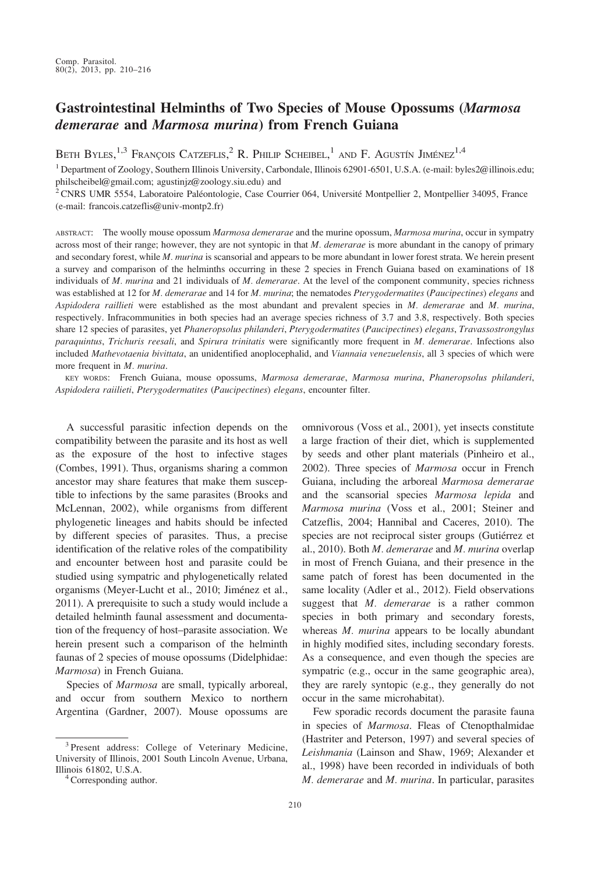# Gastrointestinal Helminths of Two Species of Mouse Opossums (Marmosa demerarae and Marmosa murina) from French Guiana

Beth Byles,  $^{1,3}$  François Catzeflis,  $^2$  R. Philip Scheibel,  $^1$  and F. Agustín Jiménez $^{1,4}$ 

<sup>1</sup> Department of Zoology, Southern Illinois University, Carbondale, Illinois 62901-6501, U.S.A. (e-mail: byles2@illinois.edu; philscheibel@gmail.com; agustinjz@zoology.siu.edu) and

<sup>2</sup> CNRS UMR 5554, Laboratoire Paléontologie, Case Courrier 064, Université Montpellier 2, Montpellier 34095, France (e-mail: francois.catzeflis@univ-montp2.fr)

ABSTRACT: The woolly mouse opossum Marmosa demerarae and the murine opossum, Marmosa murina, occur in sympatry across most of their range; however, they are not syntopic in that M. demerarae is more abundant in the canopy of primary and secondary forest, while M. murina is scansorial and appears to be more abundant in lower forest strata. We herein present a survey and comparison of the helminths occurring in these 2 species in French Guiana based on examinations of 18 individuals of M. murina and 21 individuals of M. demerarae. At the level of the component community, species richness was established at 12 for M. demerarae and 14 for M. murina; the nematodes Pterygodermatites (Paucipectines) elegans and Aspidodera raillieti were established as the most abundant and prevalent species in M. demerarae and M. murina, respectively. Infracommunities in both species had an average species richness of 3.7 and 3.8, respectively. Both species share 12 species of parasites, yet Phaneropsolus philanderi, Pterygodermatites (Paucipectines) elegans, Travassostrongylus paraquintus, Trichuris reesali, and Spirura trinitatis were significantly more frequent in M. demerarae. Infections also included Mathevotaenia bivittata, an unidentified anoplocephalid, and Viannaia venezuelensis, all 3 species of which were more frequent in M. murina.

KEY WORDS: French Guiana, mouse opossums, Marmosa demerarae, Marmosa murina, Phaneropsolus philanderi, Aspidodera raiilieti, Pterygodermatites (Paucipectines) elegans, encounter filter.

A successful parasitic infection depends on the compatibility between the parasite and its host as well as the exposure of the host to infective stages (Combes, 1991). Thus, organisms sharing a common ancestor may share features that make them susceptible to infections by the same parasites (Brooks and McLennan, 2002), while organisms from different phylogenetic lineages and habits should be infected by different species of parasites. Thus, a precise identification of the relative roles of the compatibility and encounter between host and parasite could be studied using sympatric and phylogenetically related organisms (Meyer-Lucht et al., 2010; Jiménez et al., 2011). A prerequisite to such a study would include a detailed helminth faunal assessment and documentation of the frequency of host–parasite association. We herein present such a comparison of the helminth faunas of 2 species of mouse opossums (Didelphidae: Marmosa) in French Guiana.

Species of Marmosa are small, typically arboreal, and occur from southern Mexico to northern Argentina (Gardner, 2007). Mouse opossums are omnivorous (Voss et al., 2001), yet insects constitute a large fraction of their diet, which is supplemented by seeds and other plant materials (Pinheiro et al., 2002). Three species of Marmosa occur in French Guiana, including the arboreal Marmosa demerarae and the scansorial species Marmosa lepida and Marmosa murina (Voss et al., 2001; Steiner and Catzeflis, 2004; Hannibal and Caceres, 2010). The species are not reciprocal sister groups (Gutiérrez et al., 2010). Both M. demerarae and M. murina overlap in most of French Guiana, and their presence in the same patch of forest has been documented in the same locality (Adler et al., 2012). Field observations suggest that M. demerarae is a rather common species in both primary and secondary forests, whereas M. murina appears to be locally abundant in highly modified sites, including secondary forests. As a consequence, and even though the species are sympatric (e.g., occur in the same geographic area), they are rarely syntopic (e.g., they generally do not occur in the same microhabitat).

Few sporadic records document the parasite fauna in species of Marmosa. Fleas of Ctenopthalmidae (Hastriter and Peterson, 1997) and several species of Leishmania (Lainson and Shaw, 1969; Alexander et al., 1998) have been recorded in individuals of both M. demerarae and M. murina. In particular, parasites

<sup>&</sup>lt;sup>3</sup> Present address: College of Veterinary Medicine, University of Illinois, 2001 South Lincoln Avenue, Urbana,

 $4$  Corresponding author.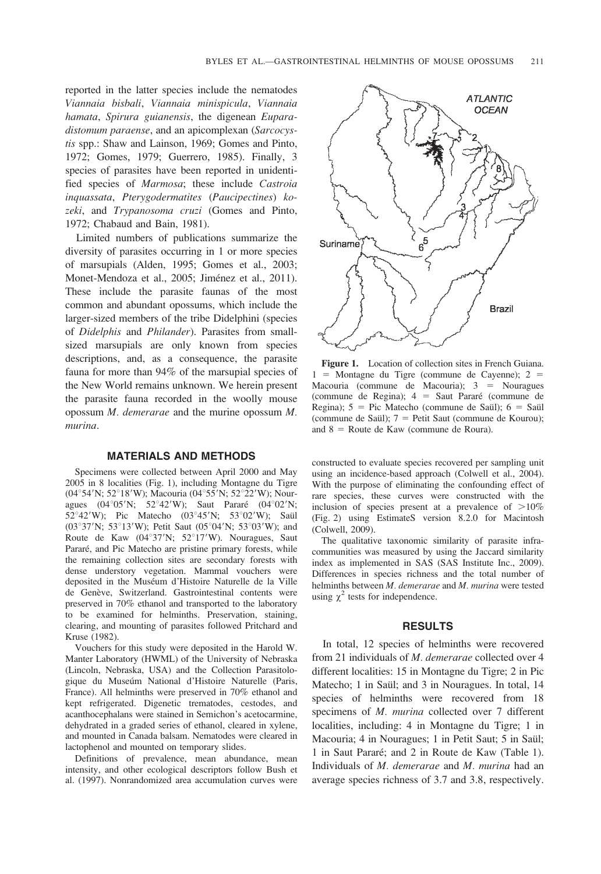reported in the latter species include the nematodes Viannaia bisbali, Viannaia minispicula, Viannaia hamata, Spirura guianensis, the digenean Euparadistomum paraense, and an apicomplexan (Sarcocystis spp.: Shaw and Lainson, 1969; Gomes and Pinto, 1972; Gomes, 1979; Guerrero, 1985). Finally, 3 species of parasites have been reported in unidentified species of Marmosa; these include Castroia inquassata, Pterygodermatites (Paucipectines) kozeki, and Trypanosoma cruzi (Gomes and Pinto, 1972; Chabaud and Bain, 1981).

Limited numbers of publications summarize the diversity of parasites occurring in 1 or more species of marsupials (Alden, 1995; Gomes et al., 2003; Monet-Mendoza et al., 2005; Jiménez et al., 2011). These include the parasite faunas of the most common and abundant opossums, which include the larger-sized members of the tribe Didelphini (species of Didelphis and Philander). Parasites from smallsized marsupials are only known from species descriptions, and, as a consequence, the parasite fauna for more than 94% of the marsupial species of the New World remains unknown. We herein present the parasite fauna recorded in the woolly mouse opossum M. demerarae and the murine opossum M. murina.

#### MATERIALS AND METHODS

Specimens were collected between April 2000 and May 2005 in 8 localities (Fig. 1), including Montagne du Tigre (04°54'N; 52°18'W); Macouria (04°55'N; 52°22'W); Nouragues (04°05'N; 52°42'W); Saut Pararé (04°02'N;  $52^{\circ}42'W$ ); Pic Matecho (03 $^{\circ}45'N$ ;  $53^{\circ}02'W$ ); Saül (03°37'N; 53°13'W); Petit Saut (05°04'N; 53°03'W); and Route de Kaw (04°37'N; 52°17'W). Nouragues, Saut Pararé, and Pic Matecho are pristine primary forests, while the remaining collection sites are secondary forests with dense understory vegetation. Mammal vouchers were deposited in the Muséum d'Histoire Naturelle de la Ville de Genève, Switzerland. Gastrointestinal contents were preserved in 70% ethanol and transported to the laboratory to be examined for helminths. Preservation, staining, clearing, and mounting of parasites followed Pritchard and Kruse (1982).

Vouchers for this study were deposited in the Harold W. Manter Laboratory (HWML) of the University of Nebraska (Lincoln, Nebraska, USA) and the Collection Parasitologique du Museúm National d'Histoire Naturelle (Paris, France). All helminths were preserved in 70% ethanol and kept refrigerated. Digenetic trematodes, cestodes, and acanthocephalans were stained in Semichon's acetocarmine, dehydrated in a graded series of ethanol, cleared in xylene, and mounted in Canada balsam. Nematodes were cleared in lactophenol and mounted on temporary slides.

Definitions of prevalence, mean abundance, mean intensity, and other ecological descriptors follow Bush et al. (1997). Nonrandomized area accumulation curves were



Figure 1. Location of collection sites in French Guiana.  $1 =$  Montagne du Tigre (commune de Cayenne); 2 = Macouria (commune de Macouria);  $3 =$  Nouragues (commune de Regina);  $4 =$  Saut Pararé (commune de Regina);  $5 = Pic$  Matecho (commune de Saül);  $6 = S$ aül (commune de Saül);  $7 =$  Petit Saut (commune de Kourou); and  $8 =$  Route de Kaw (commune de Roura).

constructed to evaluate species recovered per sampling unit using an incidence-based approach (Colwell et al., 2004). With the purpose of eliminating the confounding effect of rare species, these curves were constructed with the inclusion of species present at a prevalence of  $>10\%$ (Fig. 2) using EstimateS version 8.2.0 for Macintosh (Colwell, 2009).

The qualitative taxonomic similarity of parasite infracommunities was measured by using the Jaccard similarity index as implemented in SAS (SAS Institute Inc., 2009). Differences in species richness and the total number of helminths between M. demerarae and M. murina were tested using  $\chi^2$  tests for independence.

### **RESULTS**

In total, 12 species of helminths were recovered from 21 individuals of M. demerarae collected over 4 different localities: 15 in Montagne du Tigre; 2 in Pic Matecho; 1 in Saül; and 3 in Nouragues. In total, 14 species of helminths were recovered from 18 specimens of M. murina collected over 7 different localities, including: 4 in Montagne du Tigre; 1 in Macouria; 4 in Nouragues; 1 in Petit Saut; 5 in Saül; 1 in Saut Parare´; and 2 in Route de Kaw (Table 1). Individuals of M. demerarae and M. murina had an average species richness of 3.7 and 3.8, respectively.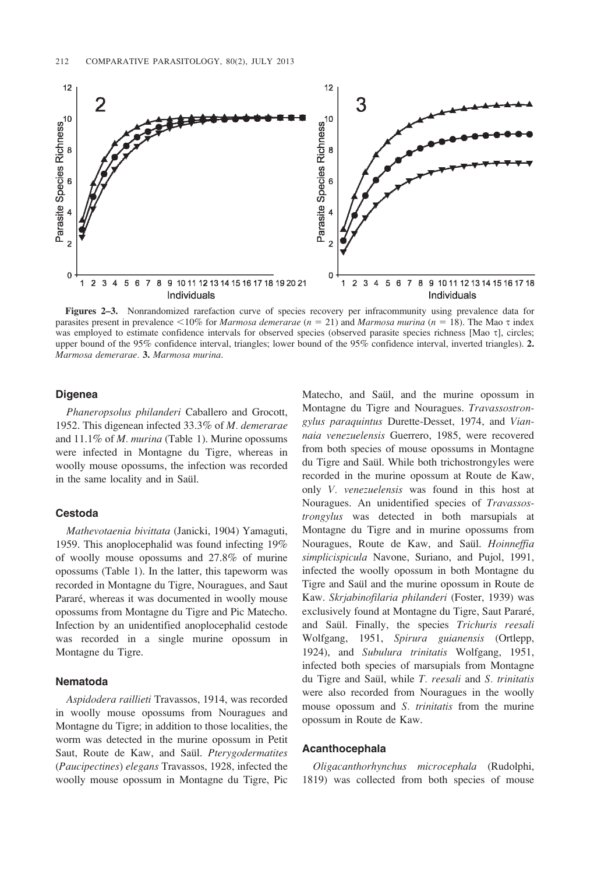

Figures 2–3. Nonrandomized rarefaction curve of species recovery per infracommunity using prevalence data for parasites present in prevalence <10% for *Marmosa demerarae*  $(n = 21)$  and *Marmosa murina*  $(n = 18)$ . The Mao  $\tau$  index was employed to estimate confidence intervals for observed species (observed parasite species richness [Mao t], circles; upper bound of the 95% confidence interval, triangles; lower bound of the 95% confidence interval, inverted triangles). 2. Marmosa demerarae. 3. Marmosa murina.

#### Digenea

Phaneropsolus philanderi Caballero and Grocott, 1952. This digenean infected 33.3% of M. demerarae and  $11.1\%$  of *M. murina* (Table 1). Murine opossums were infected in Montagne du Tigre, whereas in woolly mouse opossums, the infection was recorded in the same locality and in Saül.

#### Cestoda

Mathevotaenia bivittata (Janicki, 1904) Yamaguti, 1959. This anoplocephalid was found infecting 19% of woolly mouse opossums and 27.8% of murine opossums (Table 1). In the latter, this tapeworm was recorded in Montagne du Tigre, Nouragues, and Saut Pararé, whereas it was documented in woolly mouse opossums from Montagne du Tigre and Pic Matecho. Infection by an unidentified anoplocephalid cestode was recorded in a single murine opossum in Montagne du Tigre.

#### Nematoda

Aspidodera raillieti Travassos, 1914, was recorded in woolly mouse opossums from Nouragues and Montagne du Tigre; in addition to those localities, the worm was detected in the murine opossum in Petit Saut, Route de Kaw, and Saül. Pterygodermatites (Paucipectines) elegans Travassos, 1928, infected the woolly mouse opossum in Montagne du Tigre, Pic Matecho, and Saül, and the murine opossum in Montagne du Tigre and Nouragues. Travassostrongylus paraquintus Durette-Desset, 1974, and Viannaia venezuelensis Guerrero, 1985, were recovered from both species of mouse opossums in Montagne du Tigre and Saül. While both trichostrongyles were recorded in the murine opossum at Route de Kaw, only V. venezuelensis was found in this host at Nouragues. An unidentified species of Travassostrongylus was detected in both marsupials at Montagne du Tigre and in murine opossums from Nouragues, Route de Kaw, and Saül. Hoinneffia simplicispicula Navone, Suriano, and Pujol, 1991, infected the woolly opossum in both Montagne du Tigre and Saül and the murine opossum in Route de Kaw. Skrjabinofilaria philanderi (Foster, 1939) was exclusively found at Montagne du Tigre, Saut Pararé, and Saül. Finally, the species Trichuris reesali Wolfgang, 1951, Spirura guianensis (Ortlepp, 1924), and Subulura trinitatis Wolfgang, 1951, infected both species of marsupials from Montagne du Tigre and Saül, while T. reesali and S. trinitatis were also recorded from Nouragues in the woolly mouse opossum and S. trinitatis from the murine opossum in Route de Kaw.

#### Acanthocephala

Oligacanthorhynchus microcephala (Rudolphi, 1819) was collected from both species of mouse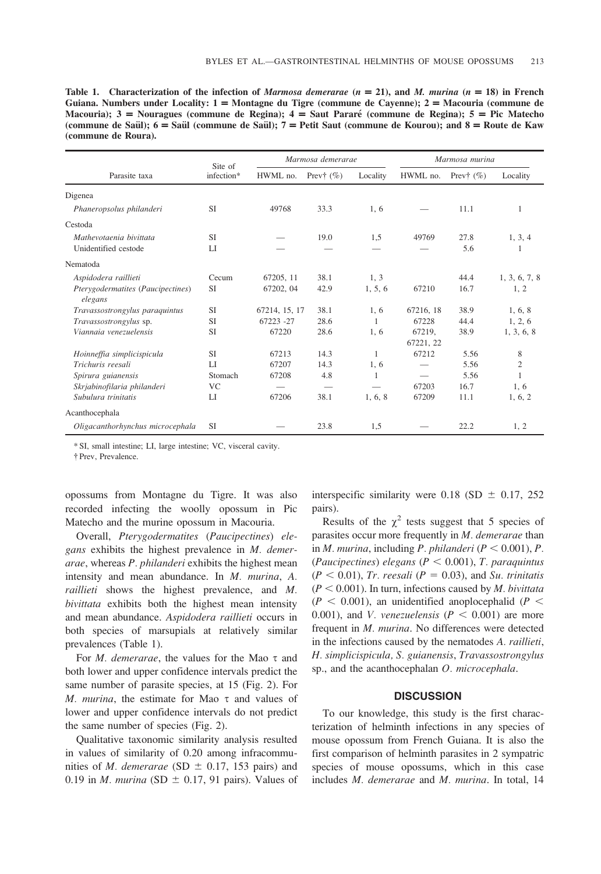Table 1. Characterization of the infection of Marmosa demerarae  $(n = 21)$ , and M. murina  $(n = 18)$  in French Guiana. Numbers under Locality: 1 = Montagne du Tigre (commune de Cayenne); 2 = Macouria (commune de Macouria);  $3 =$  Nouragues (commune de Regina);  $4 =$  Saut Pararé (commune de Regina);  $5 =$  Pic Matecho (commune de Saül);  $6 =$  Saül (commune de Saül);  $7 =$  Petit Saut (commune de Kourou); and  $8 =$  Route de Kaw (commune de Roura).

| Parasite taxa                                | Site of<br>infection* | Marmosa demerarae |              |          | Marmosa murina |              |                |
|----------------------------------------------|-----------------------|-------------------|--------------|----------|----------------|--------------|----------------|
|                                              |                       | HWML no.          | Prev† $(\%)$ | Locality | HWML no.       | Prev† $(\%)$ | Locality       |
| Digenea                                      |                       |                   |              |          |                |              |                |
| Phaneropsolus philanderi                     | <b>SI</b>             | 49768             | 33.3         | 1, 6     |                | 11.1         | 1              |
| Cestoda                                      |                       |                   |              |          |                |              |                |
| Mathevotaenia bivittata                      | <b>SI</b>             |                   | 19.0         | 1,5      | 49769          | 27.8         | 1, 3, 4        |
| Unidentified cestode                         | LI                    |                   |              |          |                | 5.6          |                |
| Nematoda                                     |                       |                   |              |          |                |              |                |
| Aspidodera raillieti                         | Cecum                 | 67205, 11         | 38.1         | 1, 3     |                | 44.4         | 1, 3, 6, 7, 8  |
| Pterygodermatites (Paucipectines)<br>elegans | <b>SI</b>             | 67202, 04         | 42.9         | 1, 5, 6  | 67210          | 16.7         | 1, 2           |
| Travassostrongylus paraquintus               | <b>SI</b>             | 67214, 15, 17     | 38.1         | 1, 6     | 67216, 18      | 38.9         | 1, 6, 8        |
| Travassostrongylus sp.                       | <b>SI</b>             | 67223 -27         | 28.6         | 1        | 67228          | 44.4         | 1, 2, 6        |
| Viannaia venezuelensis                       | <b>SI</b>             | 67220             | 28.6         | 1, 6     | 67219,         | 38.9         | 1, 3, 6, 8     |
|                                              |                       |                   |              |          | 67221, 22      |              |                |
| Hoinneffia simplicispicula                   | <b>SI</b>             | 67213             | 14.3         | 1        | 67212          | 5.56         | 8              |
| Trichuris reesali                            | $_{\rm LI}$           | 67207             | 14.3         | 1.6      |                | 5.56         | $\overline{c}$ |
| Spirura guianensis                           | Stomach               | 67208             | 4.8          | 1        |                | 5.56         |                |
| Skrjabinofilaria philanderi                  | <b>VC</b>             |                   |              |          | 67203          | 16.7         | 1, 6           |
| Subulura trinitatis                          | LI                    | 67206             | 38.1         | 1, 6, 8  | 67209          | 11.1         | 1, 6, 2        |
| Acanthocephala                               |                       |                   |              |          |                |              |                |
| Oligacanthorhynchus microcephala             | <b>SI</b>             |                   | 23.8         | 1,5      |                | 22.2         | 1, 2           |

\* SI, small intestine; LI, large intestine; VC, visceral cavity.

{ Prev, Prevalence.

opossums from Montagne du Tigre. It was also recorded infecting the woolly opossum in Pic Matecho and the murine opossum in Macouria.

Overall, Pterygodermatites (Paucipectines) elegans exhibits the highest prevalence in M. demerarae, whereas P. philanderi exhibits the highest mean intensity and mean abundance. In M. murina, A. raillieti shows the highest prevalence, and M. bivittata exhibits both the highest mean intensity and mean abundance. Aspidodera raillieti occurs in both species of marsupials at relatively similar prevalences (Table 1).

For  $M$ . demerarae, the values for the Mao  $\tau$  and both lower and upper confidence intervals predict the same number of parasite species, at 15 (Fig. 2). For M. murina, the estimate for Mao  $\tau$  and values of lower and upper confidence intervals do not predict the same number of species (Fig. 2).

Qualitative taxonomic similarity analysis resulted in values of similarity of 0.20 among infracommunities of *M. demerarae* (SD  $\pm$  0.17, 153 pairs) and 0.19 in *M. murina* (SD  $\pm$  0.17, 91 pairs). Values of interspecific similarity were 0.18 (SD  $\pm$  0.17, 252 pairs).

Results of the  $\chi^2$  tests suggest that 5 species of parasites occur more frequently in M. demerarae than in M. murina, including P. philanderi ( $P < 0.001$ ), P. (Paucipectines) elegans ( $P < 0.001$ ), T. paraquintus  $(P < 0.01)$ , Tr. reesali  $(P = 0.03)$ , and Su. trinitatis  $(P < 0.001)$ . In turn, infections caused by *M. bivittata*  $(P < 0.001)$ , an unidentified anoplocephalid (P < 0.001), and *V. venezuelensis* ( $P < 0.001$ ) are more frequent in M. murina. No differences were detected in the infections caused by the nematodes A. raillieti, H. simplicispicula, S. guianensis, Travassostrongylus sp., and the acanthocephalan O. microcephala.

#### **DISCUSSION**

To our knowledge, this study is the first characterization of helminth infections in any species of mouse opossum from French Guiana. It is also the first comparison of helminth parasites in 2 sympatric species of mouse opossums, which in this case includes M. demerarae and M. murina. In total, 14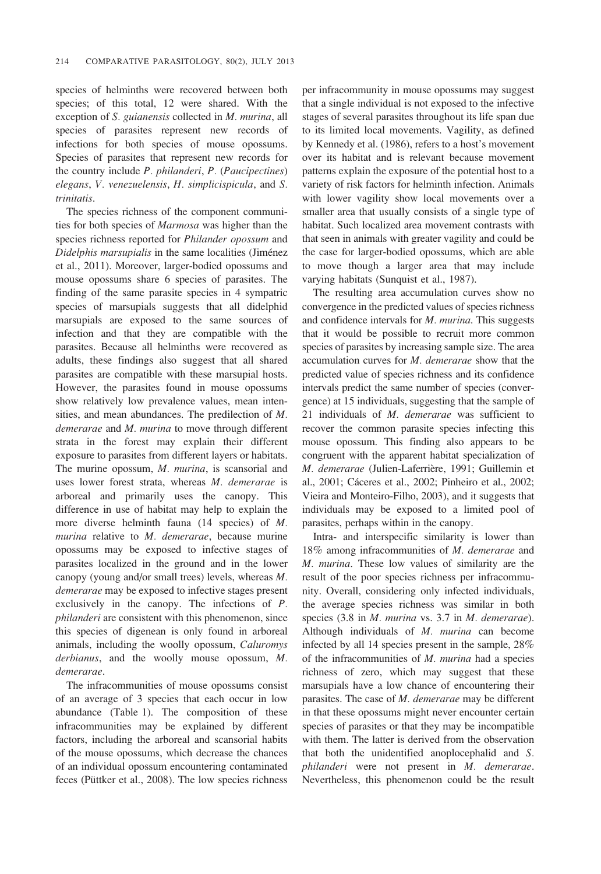species of helminths were recovered between both species; of this total, 12 were shared. With the exception of S. guianensis collected in M. murina, all species of parasites represent new records of infections for both species of mouse opossums. Species of parasites that represent new records for the country include P. philanderi, P. (Paucipectines) elegans, V. venezuelensis, H. simplicispicula, and S. trinitatis.

The species richness of the component communities for both species of Marmosa was higher than the species richness reported for *Philander opossum* and Didelphis marsupialis in the same localities (Jiménez et al., 2011). Moreover, larger-bodied opossums and mouse opossums share 6 species of parasites. The finding of the same parasite species in 4 sympatric species of marsupials suggests that all didelphid marsupials are exposed to the same sources of infection and that they are compatible with the parasites. Because all helminths were recovered as adults, these findings also suggest that all shared parasites are compatible with these marsupial hosts. However, the parasites found in mouse opossums show relatively low prevalence values, mean intensities, and mean abundances. The predilection of M. demerarae and M. murina to move through different strata in the forest may explain their different exposure to parasites from different layers or habitats. The murine opossum, M. murina, is scansorial and uses lower forest strata, whereas M. demerarae is arboreal and primarily uses the canopy. This difference in use of habitat may help to explain the more diverse helminth fauna (14 species) of M. murina relative to M. demerarae, because murine opossums may be exposed to infective stages of parasites localized in the ground and in the lower canopy (young and/or small trees) levels, whereas M. demerarae may be exposed to infective stages present exclusively in the canopy. The infections of P. philanderi are consistent with this phenomenon, since this species of digenean is only found in arboreal animals, including the woolly opossum, Caluromys derbianus, and the woolly mouse opossum, M. demerarae.

The infracommunities of mouse opossums consist of an average of 3 species that each occur in low abundance (Table 1). The composition of these infracommunities may be explained by different factors, including the arboreal and scansorial habits of the mouse opossums, which decrease the chances of an individual opossum encountering contaminated feces (Püttker et al., 2008). The low species richness per infracommunity in mouse opossums may suggest that a single individual is not exposed to the infective stages of several parasites throughout its life span due to its limited local movements. Vagility, as defined by Kennedy et al. (1986), refers to a host's movement over its habitat and is relevant because movement patterns explain the exposure of the potential host to a variety of risk factors for helminth infection. Animals with lower vagility show local movements over a smaller area that usually consists of a single type of habitat. Such localized area movement contrasts with that seen in animals with greater vagility and could be the case for larger-bodied opossums, which are able to move though a larger area that may include varying habitats (Sunquist et al., 1987).

The resulting area accumulation curves show no convergence in the predicted values of species richness and confidence intervals for M. murina. This suggests that it would be possible to recruit more common species of parasites by increasing sample size. The area accumulation curves for M. demerarae show that the predicted value of species richness and its confidence intervals predict the same number of species (convergence) at 15 individuals, suggesting that the sample of 21 individuals of  $M$ . demerarae was sufficient to recover the common parasite species infecting this mouse opossum. This finding also appears to be congruent with the apparent habitat specialization of M. demerarae (Julien-Laferrière, 1991; Guillemin et al., 2001; Cáceres et al., 2002; Pinheiro et al., 2002; Vieira and Monteiro-Filho, 2003), and it suggests that individuals may be exposed to a limited pool of parasites, perhaps within in the canopy.

Intra- and interspecific similarity is lower than 18% among infracommunities of M. demerarae and M. murina. These low values of similarity are the result of the poor species richness per infracommunity. Overall, considering only infected individuals, the average species richness was similar in both species (3.8 in M. murina vs. 3.7 in M. demerarae). Although individuals of M. murina can become infected by all 14 species present in the sample, 28% of the infracommunities of  $M$ . murina had a species richness of zero, which may suggest that these marsupials have a low chance of encountering their parasites. The case of M. demerarae may be different in that these opossums might never encounter certain species of parasites or that they may be incompatible with them. The latter is derived from the observation that both the unidentified anoplocephalid and S. philanderi were not present in M. demerarae. Nevertheless, this phenomenon could be the result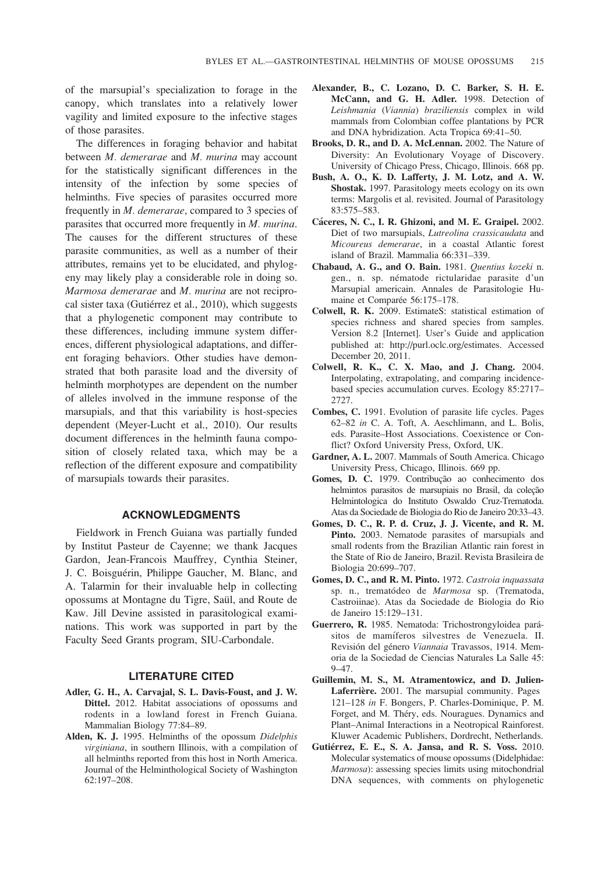of the marsupial's specialization to forage in the canopy, which translates into a relatively lower vagility and limited exposure to the infective stages of those parasites.

The differences in foraging behavior and habitat between M. demerarae and M. murina may account for the statistically significant differences in the intensity of the infection by some species of helminths. Five species of parasites occurred more frequently in M. demerarae, compared to 3 species of parasites that occurred more frequently in M. murina. The causes for the different structures of these parasite communities, as well as a number of their attributes, remains yet to be elucidated, and phylogeny may likely play a considerable role in doing so. Marmosa demerarae and M. murina are not reciprocal sister taxa (Gutiérrez et al., 2010), which suggests that a phylogenetic component may contribute to these differences, including immune system differences, different physiological adaptations, and different foraging behaviors. Other studies have demonstrated that both parasite load and the diversity of helminth morphotypes are dependent on the number of alleles involved in the immune response of the marsupials, and that this variability is host-species dependent (Meyer-Lucht et al., 2010). Our results document differences in the helminth fauna composition of closely related taxa, which may be a reflection of the different exposure and compatibility of marsupials towards their parasites.

#### ACKNOWLEDGMENTS

Fieldwork in French Guiana was partially funded by Institut Pasteur de Cayenne; we thank Jacques Gardon, Jean-Francois Mauffrey, Cynthia Steiner, J. C. Boisguérin, Philippe Gaucher, M. Blanc, and A. Talarmin for their invaluable help in collecting opossums at Montagne du Tigre, Saül, and Route de Kaw. Jill Devine assisted in parasitological examinations. This work was supported in part by the Faculty Seed Grants program, SIU-Carbondale.

#### LITERATURE CITED

- Adler, G. H., A. Carvajal, S. L. Davis-Foust, and J. W. Dittel. 2012. Habitat associations of opossums and rodents in a lowland forest in French Guiana. Mammalian Biology 77:84–89.
- Alden, K. J. 1995. Helminths of the opossum Didelphis virginiana, in southern Illinois, with a compilation of all helminths reported from this host in North America. Journal of the Helminthological Society of Washington 62:197–208.
- Alexander, B., C. Lozano, D. C. Barker, S. H. E. McCann, and G. H. Adler. 1998. Detection of Leishmania (Viannia) braziliensis complex in wild mammals from Colombian coffee plantations by PCR and DNA hybridization. Acta Tropica 69:41–50.
- Brooks, D. R., and D. A. McLennan. 2002. The Nature of Diversity: An Evolutionary Voyage of Discovery. University of Chicago Press, Chicago, Illinois. 668 pp.
- Bush, A. O., K. D. Lafferty, J. M. Lotz, and A. W. Shostak. 1997. Parasitology meets ecology on its own terms: Margolis et al. revisited. Journal of Parasitology 83:575–583.
- Cáceres, N. C., I. R. Ghizoni, and M. E. Graipel. 2002. Diet of two marsupials, Lutreolina crassicaudata and Micoureus demerarae, in a coastal Atlantic forest island of Brazil. Mammalia 66:331–339.
- Chabaud, A. G., and O. Bain. 1981. Quentius kozeki n. gen., n. sp. nématode rictularidae parasite d'un Marsupial americain. Annales de Parasitologie Humaine et Comparée 56:175–178.
- Colwell, R. K. 2009. EstimateS: statistical estimation of species richness and shared species from samples. Version 8.2 [Internet]. User's Guide and application published at: http://purl.oclc.org/estimates. Accessed December 20, 2011.
- Colwell, R. K., C. X. Mao, and J. Chang. 2004. Interpolating, extrapolating, and comparing incidencebased species accumulation curves. Ecology 85:2717– 2727.
- Combes, C. 1991. Evolution of parasite life cycles. Pages 62–82 in C. A. Toft, A. Aeschlimann, and L. Bolis, eds. Parasite–Host Associations. Coexistence or Conflict? Oxford University Press, Oxford, UK.
- Gardner, A. L. 2007. Mammals of South America. Chicago University Press, Chicago, Illinois. 669 pp.
- Gomes, D. C. 1979. Contribução ao conhecimento dos helmintos parasitos de marsupiais no Brasil, da coleção Helmintologica do Instituto Oswaldo Cruz-Trematoda. Atas da Sociedade de Biologia do Rio de Janeiro 20:33–43.
- Gomes, D. C., R. P. d. Cruz, J. J. Vicente, and R. M. Pinto. 2003. Nematode parasites of marsupials and small rodents from the Brazilian Atlantic rain forest in the State of Rio de Janeiro, Brazil. Revista Brasileira de Biologia 20:699–707.
- Gomes, D. C., and R. M. Pinto. 1972. Castroia inquassata sp. n., trematódeo de Marmosa sp. (Trematoda, Castroiinae). Atas da Sociedade de Biologia do Rio de Janeiro 15:129–131.
- Guerrero, R. 1985. Nematoda: Trichostrongyloidea parásitos de mamíferos silvestres de Venezuela. II. Revisión del género Viannaia Travassos, 1914. Memoria de la Sociedad de Ciencias Naturales La Salle 45: 9–47.
- Guillemin, M. S., M. Atramentowicz, and D. Julien-Laferrière. 2001. The marsupial community. Pages 121–128 in F. Bongers, P. Charles-Dominique, P. M. Forget, and M. Théry, eds. Nouragues. Dynamics and Plant–Animal Interactions in a Neotropical Rainforest. Kluwer Academic Publishers, Dordrecht, Netherlands.
- Gutiérrez, E. E., S. A. Jansa, and R. S. Voss. 2010. Molecular systematics of mouse opossums (Didelphidae: Marmosa): assessing species limits using mitochondrial DNA sequences, with comments on phylogenetic